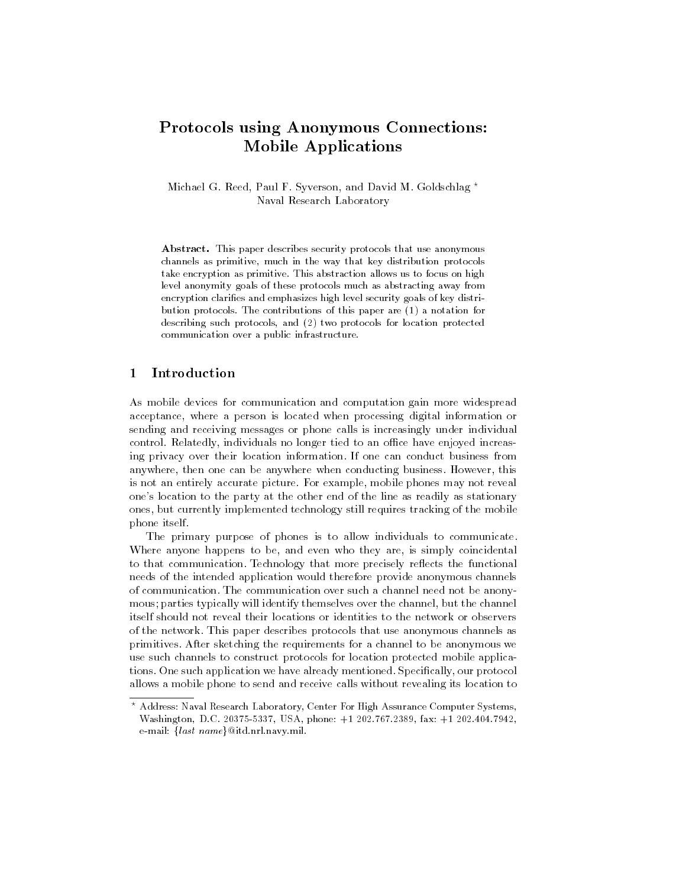# Protocols using Anonymous Connections: Mobile Applications

Michael G. Reed, Paul F. Syverson, and David M. Goldschlag  $\star$ Naval Research Laboratory

Abstract. This paper describes security protocols that use anonymous channels as primitive, much in the way that key distribution protocols take encryption as primitive. This abstraction allows us to focus on high level anonymity goals of these protocols much as abstracting away from encryption clarifies and emphasizes high level security goals of key distribution protocols. The contributions of this paper are (1) a notation for describing such protocols, and (2) two protocols for location protected communication over a public infrastructure.

# 1 Introduction

As mobile devices for communication and computation gain more widespread acceptance, where a person is located when processing digital information or sending and receiving messages or phone calls is increasingly under individual control. Relatedly, individuals no longer tied to an office have enjoyed increasing privacy over their location information. If one can conduct business from anywhere, then one can be anywhere when conducting business. However, this is not an entirely accurate picture. For example, mobile phones may not reveal one's location to the party at the other end of the line as readily as stationary ones, but currently implemented technology still requires tracking of the mobile phone itself.

The primary purpose of phones is to allow individuals to communicate. Where anyone happens to be, and even who they are, is simply coincidental to that communication. Technology that more precisely reflects the functional needs of the intended application would therefore provide anonymous channels of communication. The communication over such a channel need not be anonymous; parties typically will identify themselves over the channel, but the channel itself should not reveal their locations or identities to the network or observers of the network. This paper describes protocols that use anonymous channels as primitives. After sketching the requirements for a channel to be anonymous we use such channels to construct protocols for location protected mobile applications. One such application we have already mentioned. Specifically, our protocol allows a mobile phone to send and receive calls without revealing its location to

<sup>?</sup> Address: Naval Research Laboratory, Center For High Assurance Computer Systems, Washington, D.C. 20375-5337, USA, phone: +1 202.767.2389, fax: +1 202.404.7942, e-mail:  ${last name}$ @itd.nrl.navy.mil.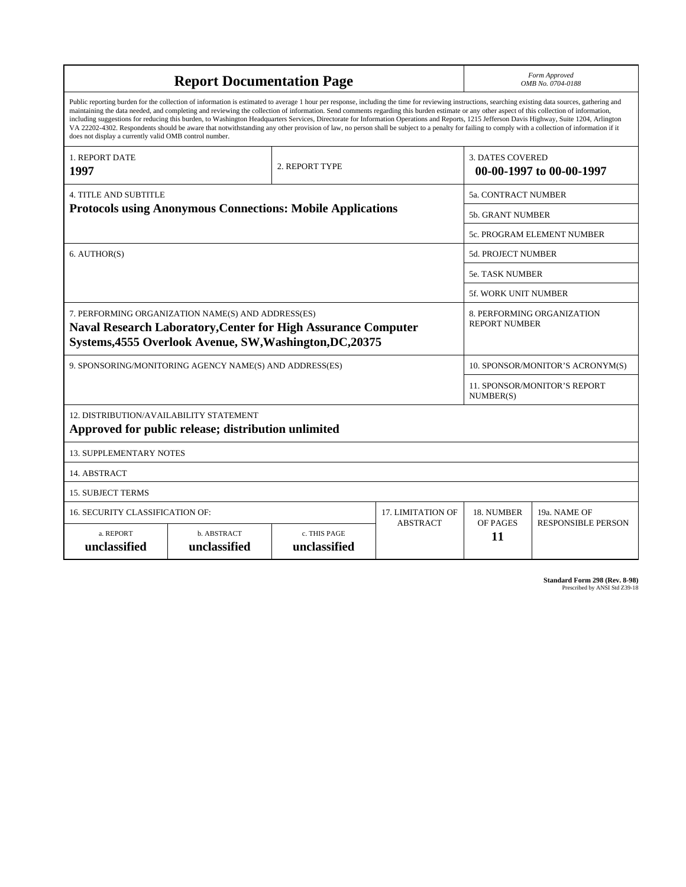| <b>Report Documentation Page</b>                                                                                                                                                                                                                                                                                                                                                                                                                                                                                                                                                                                                                                                                                                                                                                                                                                   |                             |                              |                 | Form Approved<br>OMB No. 0704-0188                  |                           |
|--------------------------------------------------------------------------------------------------------------------------------------------------------------------------------------------------------------------------------------------------------------------------------------------------------------------------------------------------------------------------------------------------------------------------------------------------------------------------------------------------------------------------------------------------------------------------------------------------------------------------------------------------------------------------------------------------------------------------------------------------------------------------------------------------------------------------------------------------------------------|-----------------------------|------------------------------|-----------------|-----------------------------------------------------|---------------------------|
| Public reporting burden for the collection of information is estimated to average 1 hour per response, including the time for reviewing instructions, searching existing data sources, gathering and<br>maintaining the data needed, and completing and reviewing the collection of information. Send comments regarding this burden estimate or any other aspect of this collection of information,<br>including suggestions for reducing this burden, to Washington Headquarters Services, Directorate for Information Operations and Reports, 1215 Jefferson Davis Highway, Suite 1204, Arlington<br>VA 22202-4302. Respondents should be aware that notwithstanding any other provision of law, no person shall be subject to a penalty for failing to comply with a collection of information if it<br>does not display a currently valid OMB control number. |                             |                              |                 |                                                     |                           |
| 1. REPORT DATE<br>1997                                                                                                                                                                                                                                                                                                                                                                                                                                                                                                                                                                                                                                                                                                                                                                                                                                             | 2. REPORT TYPE              |                              |                 | <b>3. DATES COVERED</b><br>00-00-1997 to 00-00-1997 |                           |
| <b>4. TITLE AND SUBTITLE</b><br><b>Protocols using Anonymous Connections: Mobile Applications</b>                                                                                                                                                                                                                                                                                                                                                                                                                                                                                                                                                                                                                                                                                                                                                                  |                             |                              |                 | 5a. CONTRACT NUMBER                                 |                           |
|                                                                                                                                                                                                                                                                                                                                                                                                                                                                                                                                                                                                                                                                                                                                                                                                                                                                    |                             |                              |                 | 5b. GRANT NUMBER                                    |                           |
|                                                                                                                                                                                                                                                                                                                                                                                                                                                                                                                                                                                                                                                                                                                                                                                                                                                                    |                             |                              |                 | 5c. PROGRAM ELEMENT NUMBER                          |                           |
| 6. AUTHOR(S)                                                                                                                                                                                                                                                                                                                                                                                                                                                                                                                                                                                                                                                                                                                                                                                                                                                       |                             |                              |                 | 5d. PROJECT NUMBER                                  |                           |
|                                                                                                                                                                                                                                                                                                                                                                                                                                                                                                                                                                                                                                                                                                                                                                                                                                                                    |                             |                              |                 | <b>5e. TASK NUMBER</b>                              |                           |
|                                                                                                                                                                                                                                                                                                                                                                                                                                                                                                                                                                                                                                                                                                                                                                                                                                                                    |                             |                              |                 | <b>5f. WORK UNIT NUMBER</b>                         |                           |
| 7. PERFORMING ORGANIZATION NAME(S) AND ADDRESS(ES)<br><b>Naval Research Laboratory, Center for High Assurance Computer</b><br>Systems, 4555 Overlook Avenue, SW, Washington, DC, 20375                                                                                                                                                                                                                                                                                                                                                                                                                                                                                                                                                                                                                                                                             |                             |                              |                 | 8. PERFORMING ORGANIZATION<br><b>REPORT NUMBER</b>  |                           |
| 9. SPONSORING/MONITORING AGENCY NAME(S) AND ADDRESS(ES)                                                                                                                                                                                                                                                                                                                                                                                                                                                                                                                                                                                                                                                                                                                                                                                                            |                             |                              |                 | 10. SPONSOR/MONITOR'S ACRONYM(S)                    |                           |
|                                                                                                                                                                                                                                                                                                                                                                                                                                                                                                                                                                                                                                                                                                                                                                                                                                                                    |                             |                              |                 | 11. SPONSOR/MONITOR'S REPORT<br>NUMBER(S)           |                           |
| 12. DISTRIBUTION/AVAILABILITY STATEMENT<br>Approved for public release; distribution unlimited                                                                                                                                                                                                                                                                                                                                                                                                                                                                                                                                                                                                                                                                                                                                                                     |                             |                              |                 |                                                     |                           |
| <b>13. SUPPLEMENTARY NOTES</b>                                                                                                                                                                                                                                                                                                                                                                                                                                                                                                                                                                                                                                                                                                                                                                                                                                     |                             |                              |                 |                                                     |                           |
| 14. ABSTRACT                                                                                                                                                                                                                                                                                                                                                                                                                                                                                                                                                                                                                                                                                                                                                                                                                                                       |                             |                              |                 |                                                     |                           |
| <b>15. SUBJECT TERMS</b>                                                                                                                                                                                                                                                                                                                                                                                                                                                                                                                                                                                                                                                                                                                                                                                                                                           |                             |                              |                 |                                                     |                           |
| <b>16. SECURITY CLASSIFICATION OF:</b>                                                                                                                                                                                                                                                                                                                                                                                                                                                                                                                                                                                                                                                                                                                                                                                                                             | <b>17. LIMITATION OF</b>    | 18. NUMBER                   | 19a. NAME OF    |                                                     |                           |
| a. REPORT<br>unclassified                                                                                                                                                                                                                                                                                                                                                                                                                                                                                                                                                                                                                                                                                                                                                                                                                                          | b. ABSTRACT<br>unclassified | c. THIS PAGE<br>unclassified | <b>ABSTRACT</b> | OF PAGES<br>11                                      | <b>RESPONSIBLE PERSON</b> |

**Standard Form 298 (Rev. 8-98)**<br>Prescribed by ANSI Std Z39-18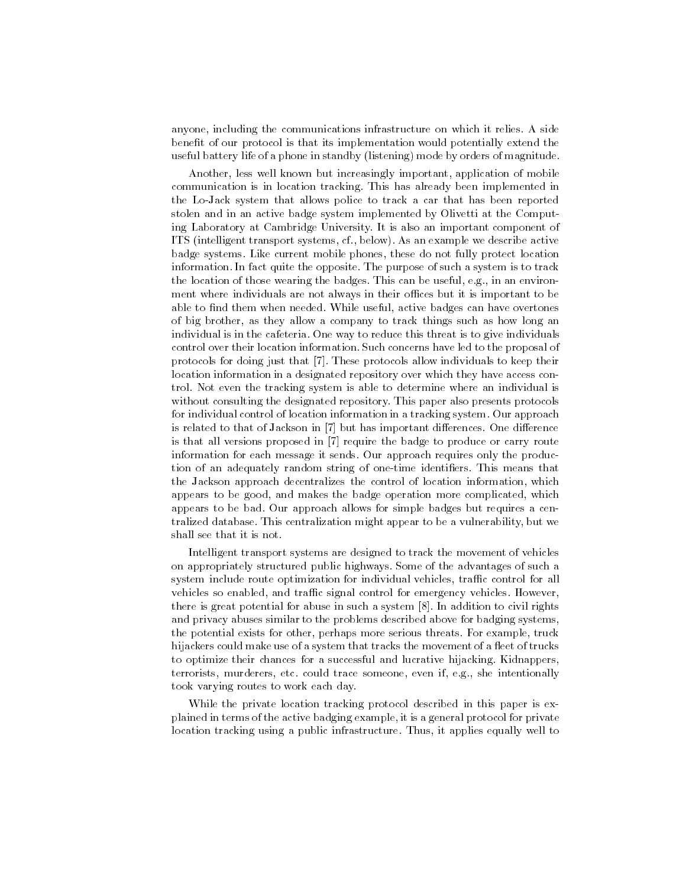anyone, including the communications infrastructure on which it relies. A side benefit of our protocol is that its implementation would potentially extend the useful battery life of a phone in standby (listening) mode by orders of magnitude.

Another, less well known but increasingly important, application of mobile communication is in location tracking. This has already been implemented in the Lo-Jack system that allows police to track a car that has been reported stolen and in an active badge system implemented by Olivetti at the Computing Laboratory at Cambridge University. It is also an important component of ITS (intelligent transport systems, cf., below). As an example we describe active badge systems. Like current mobile phones, these do not fully protect location information. In fact quite the opposite. The purpose of such a system is to track the location of those wearing the badges. This can be useful, e.g., in an environ ment where individuals are not always in their offices but it is important to be able to find them when needed. While useful, active badges can have overtones of big brother, as they allow a company to track things such as how long an individual is in the cafeteria. One way to reduce this threat is to give individuals control over their location information. Such concerns have led to the proposal of protocols for doing just that [7]. These protocols allow individuals to keep their location information in a designated repository over which they have access control. Not even the tracking system is able to determine where an individual is without consulting the designated repository. This paper also presents protocols for individual control of location information in a tracking system. Our approach is related to that of Jackson in [7] but has important differences. One difference is that all versions proposed in [7] require the badge to produce or carry route information for each message it sends. Our approach requires only the production of an adequately random string of one-time identifiers. This means that the Jackson approach decentralizes the control of location information, which appears to be good, and makes the badge operation more complicated, which appears to be bad. Our approach allows for simple badges but requires a centralized database. This centralization might appear to be a vulnerability, but we shall see that it is not.

Intelligent transport systems are designed to track the movement of vehicles on appropriately structured public highways. Some of the advantages of such a system include route optimization for individual vehicles, traffic control for all vehicles so enabled, and traffic signal control for emergency vehicles. However, there is great potential for abuse in such a system [8]. In addition to civil rights and privacy abuses similar to the problems described above for badging systems, the potential exists for other, perhaps more serious threats. For example, truck hijackers could make use of a system that tracks the movement of a fleet of trucks to optimize their chances for a successful and lucrative hijacking. Kidnappers, terrorists, murderers, etc. could trace someone, even if, e.g., she intentionally took varying routes to work each day.

While the private location tracking protocol described in this paper is explained in terms of the active badging example, it is a general protocol for private location tracking using a public infrastructure. Thus, it applies equally well to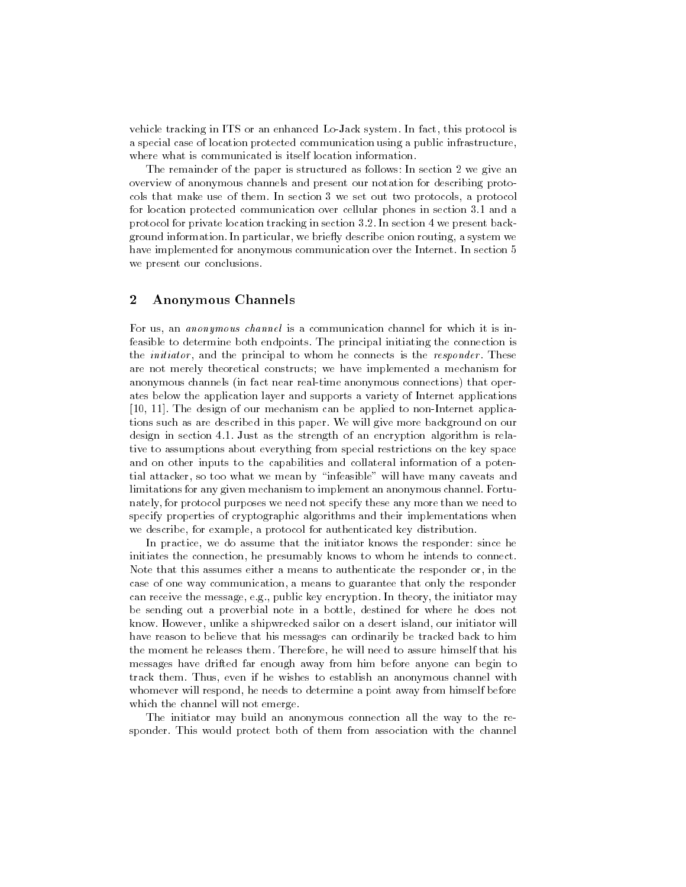vehicle tracking in ITS or an enhanced Lo-Jack system. In fact, this protocol is a special case of location protected communication using a public infrastructure, where what is communicated is itself location information.

The remainder of the paper is structured as follows: In section 2 we give an overview of anonymous channels and present our notation for describing protocols that make use of them. In section 3 we set out two protocols, a protocol for location protected communication over cellular phones in section 3.1 and a protocol for private location tracking in section 3.2. In section 4 we present background information. In particular, we briefly describe onion routing, a system we have implemented for anonymous communication over the Internet. In section 5 we present our conclusions.

#### $\overline{2}$ 2 Anonymous Channels

For us, an *anonymous channel* is a communication channel for which it is infeasible to determine both endpoints. The principal initiating the connection is the *initiator*, and the principal to whom he connects is the *responder*. These are not merely theoretical constructs; we have implemented a mechanism for anonymous channels (in fact near real-time anonymous connections) that operates below the application layer and supports a variety of Internet applications [10, 11]. The design of our mechanism can be applied to non-Internet applications such as are described in this paper. We will give more background on our design in section 4.1. Just as the strength of an encryption algorithm is relative to assumptions about everything from special restrictions on the key space and on other inputs to the capabilities and collateral information of a potential attacker, so too what we mean by \infeasible" will have many caveats and limitations for any given mechanism to implement an anonymous channel. Fortunately, for protocol purposes we need not specify these any more than we need to specify properties of cryptographic algorithms and their implementations when we describe, for example, a protocol for authenticated key distribution.

In practice, we do assume that the initiator knows the responder: since he initiates the connection, he presumably knows to whom he intends to connect. Note that this assumes either a means to authenticate the responder or, in the case of one way communication, a means to guarantee that only the responder can receive the message, e.g., public key encryption. In theory, the initiator may be sending out a proverbial note in a bottle, destined for where he does not know. However, unlike a shipwrecked sailor on a desert island, our initiator will have reason to believe that his messages can ordinarily be tracked back to him the moment he releases them. Therefore, he will need to assure himself that his messages have drifted far enough away from him before anyone can begin to track them. Thus, even if he wishes to establish an anonymous channel with whomever will respond, he needs to determine a point away from himself before which the channel will not emerge.

The initiator may build an anonymous connection all the way to the responder. This would protect both of them from association with the channel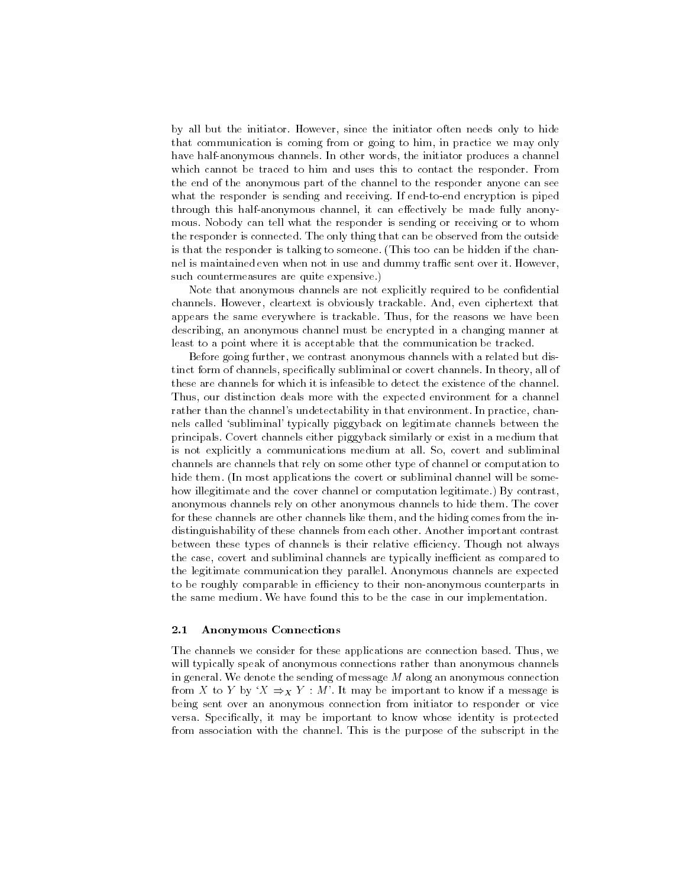by all but the initiator. However, since the initiator often needs only to hide that communication is coming from or going to him, in practice we may only have half-anonymous channels. In other words, the initiator produces a channel which cannot be traced to him and uses this to contact the responder. From the end of the anonymous part of the channel to the responder anyone can see what the responder is sending and receiving. If end-to-end encryption is piped through this half-anonymous channel, it can effectively be made fully anonymous. Nobody can tell what the responder is sending or receiving or to whom the responder is connected. The only thing that can be observed from the outside is that the responder is talking to someone. (This too can be hidden if the channel is maintained even when not in use and dummy traffic sent over it. However, such countermeasures are quite expensive.)

Note that anonymous channels are not explicitly required to be condential channels. However, cleartext is obviously trackable. And, even ciphertext that appears the same everywhere is trackable. Thus, for the reasons we have been describing, an anonymous channel must be encrypted in a changing manner at least to a point where it is acceptable that the communication be tracked.

Before going further, we contrast anonymous channels with a related but distinct form of channels, specifically subliminal or covert channels. In theory, all of these are channels for which it is infeasible to detect the existence of the channel. Thus, our distinction deals more with the expected environment for a channel rather than the channel's undetectability in that environment. In practice, channels called `subliminal' typically piggyback on legitimate channels between the principals. Covert channels either piggyback similarly or exist in a medium that is not explicitly a communications medium at all. So, covert and subliminal channels are channels that rely on some other type of channel or computation to hide them. (In most applications the covert or subliminal channel will be somehow illegitimate and the cover channel or computation legitimate.) By contrast, anonymous channels rely on other anonymous channels to hide them. The cover for these channels are other channels like them, and the hiding comes from the indistinguishability of these channels from each other. Another important contrast between these types of channels is their relative efficiency. Though not always the case, covert and subliminal channels are typically inefficient as compared to the legitimate communication they parallel. Anonymous channels are expected to be roughly comparable in efficiency to their non-anonymous counterparts in the same medium. We have found this to be the case in our implementation.

#### 2.1 Anonymous Connections

The channels we consider for these applications are connection based. Thus, we will typically speak of anonymous connections rather than anonymous channels in general. We denote the sending of message  $M$  along an anonymous connection from X to Y by ' $X \Rightarrow_X Y : M'$ . It may be important to know if a message is being sent over an anonymous connection from initiator to responder or vice versa. Specifically, it may be important to know whose identity is protected from association with the channel. This is the purpose of the subscript in the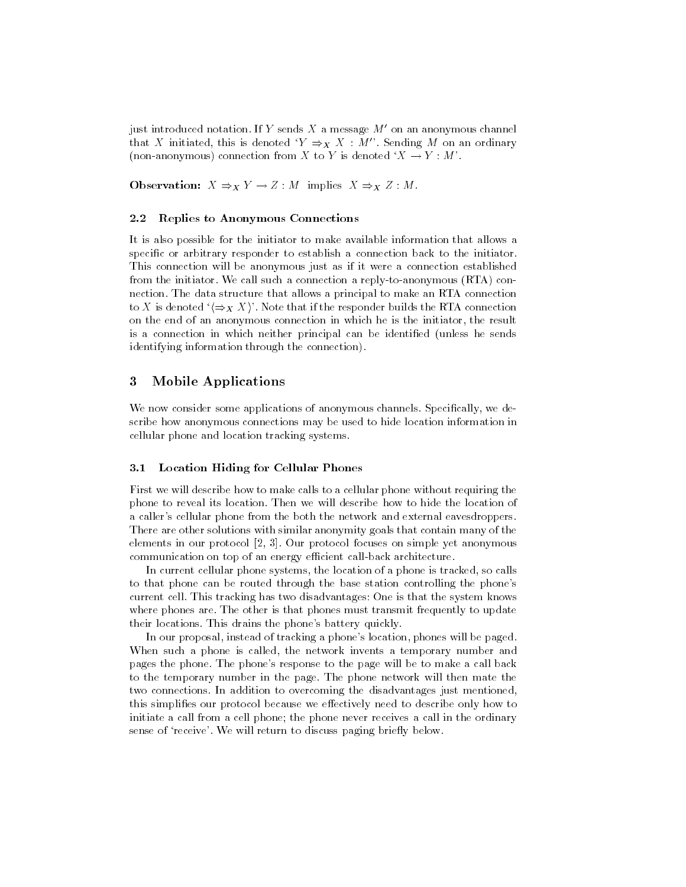just introduced notation. If Y sends  $X$  a message  $M'$  on an anonymous channel that X initiated, this is denoted ' $Y \Rightarrow_X X : M'$ . Sending M on an ordinary (non-anonymous) connection from X to Y is denoted  $'X \to Y : M'$ .

 $\overline{X}$   $\overline{Y}$   $\overline{Y}$   $\overline{Y}$   $\overline{Y}$   $\overline{Y}$   $\overline{Y}$   $\overline{Y}$   $\overline{Y}$   $\overline{Y}$   $\overline{Y}$   $\overline{Y}$   $\overline{Y}$   $\overline{Y}$   $\overline{Y}$   $\overline{Y}$   $\overline{Y}$   $\overline{Y}$   $\overline{Y}$   $\overline{Y}$   $\overline{Y}$   $\overline{Y}$   $\overline{Y}$   $\overline{Y}$   $\overline{$ 

#### $2.2$ Replies to Anonymous Connections

It is also possible for the initiator to make available information that allows a specific or arbitrary responder to establish a connection back to the initiator. This connection will be anonymous just as if it were a connection established from the initiator. We call such a connection a reply-to-anonymous (RTA) connection. The data structure that allows a principal to make an RTA connection to X is denoted  $\langle \Rightarrow_{X} X \rangle$ . Note that if the responder builds the RTA connection on the end of an anonymous connection in which he is the initiator, the result is a connection in which neither principal can be identified (unless he sends identifying information through the connection).

# 3 Mobile Applications

We now consider some applications of anonymous channels. Specifically, we describe how anonymous connections may be used to hide location information in cellular phone and location tracking systems.

### 3.1 Location Hiding for Cellular Phones

First we will describe how to make calls to a cellular phone without requiring the phone to reveal its location. Then we will describe how to hide the location of a caller's cellular phone from the both the network and external eavesdroppers. There are other solutions with similar anonymity goals that contain many of the elements in our protocol [2, 3]. Our protocol focuses on simple yet anonymous communication on top of an energy efficient call-back architecture.

In current cellular phone systems, the location of a phone is tracked, so calls to that phone can be routed through the base station controlling the phone's current cell. This tracking has two disadvantages: One is that the system knows where phones are. The other is that phones must transmit frequently to update their locations. This drains the phone's battery quickly.

In our proposal, instead of tracking a phone's location, phones will be paged. When such a phone is called, the network invents a temporary number and pages the phone. The phone's response to the page will be to make a call back to the temporary number in the page. The phone network will then mate the two connections. In addition to overcoming the disadvantages just mentioned, this simplifies our protocol because we effectively need to describe only how to initiate a call from a cell phone; the phone never receives a call in the ordinary sense of 'receive'. We will return to discuss paging briefly below.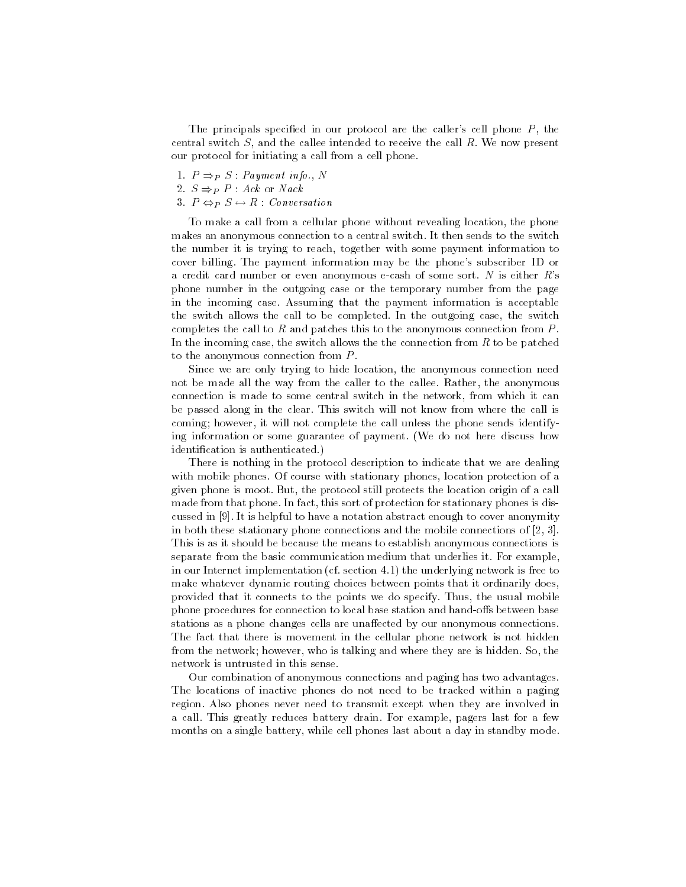The principals specified in our protocol are the caller's cell phone  $P$ , the central switch S, and the callee intended to receive the call R. We now present our protocol for initiating a call from a cell phone.

- $\mathbf{P}$  is proposed in payment in  $\mathbf{P}$
- $\blacksquare$  .  $\triangleright$   $\blacksquare$  . Then or nack  $\blacksquare$
- $\mathcal{S}$ . P  $\mathcal{S}$  is the set of  $\mathcal{S}$  is a result of  $\mathcal{S}$ .

To make a call from a cellular phone without revealing location, the phone makes an anonymous connection to a central switch. It then sends to the switch the number it is trying to reach, together with some payment information to cover billing. The payment information may be the phone's subscriber ID or a credit card number or even anonymous e-cash of some sort. <sup>N</sup> is either <sup>R</sup>'s phone number in the outgoing case or the temporary number from the page in the incoming case. Assuming that the payment information is acceptable the switch allows the call to be completed. In the outgoing case, the switch completes the call to  $R$  and patches this to the anonymous connection from  $P$ . In the incoming case, the switch allows the the connection from  $R$  to be patched to the anonymous connection from <sup>P</sup> .

Since we are only trying to hide location, the anonymous connection need not be made all the way from the caller to the callee. Rather, the anonymous connection is made to some central switch in the network, from which it can be passed along in the clear. This switch will not know from where the call is coming; however, it will not complete the call unless the phone sends identifying information or some guarantee of payment. (We do not here discuss how identication is authenticated.)

There is nothing in the protocol description to indicate that we are dealing with mobile phones. Of course with stationary phones, location protection of a given phone is moot. But, the protocol still protects the location origin of a call made from that phone. In fact, this sort of protection for stationary phones is discussed in [9]. It is helpful to have a notation abstract enough to cover anonymity in both these stationary phone connections and the mobile connections of [2, 3]. This is as it should be because the means to establish anonymous connections is separate from the basic communication medium that underlies it. For example, in our Internet implementation (cf. section 4.1) the underlying network is free to make whatever dynamic routing choices between points that it ordinarily does, provided that it connects to the points we do specify. Thus, the usual mobile phone procedures for connection to local base station and hand-offs between base stations as a phone changes cells are unaffected by our anonymous connections. The fact that there is movement in the cellular phone network is not hidden from the network; however, who is talking and where they are is hidden. So, the network is untrusted in this sense.

Our combination of anonymous connections and paging has two advantages. The locations of inactive phones do not need to be tracked within a paging region. Also phones never need to transmit except when they are involved in a call. This greatly reduces battery drain. For example, pagers last for a few months on a single battery, while cell phones last about a day in standby mode.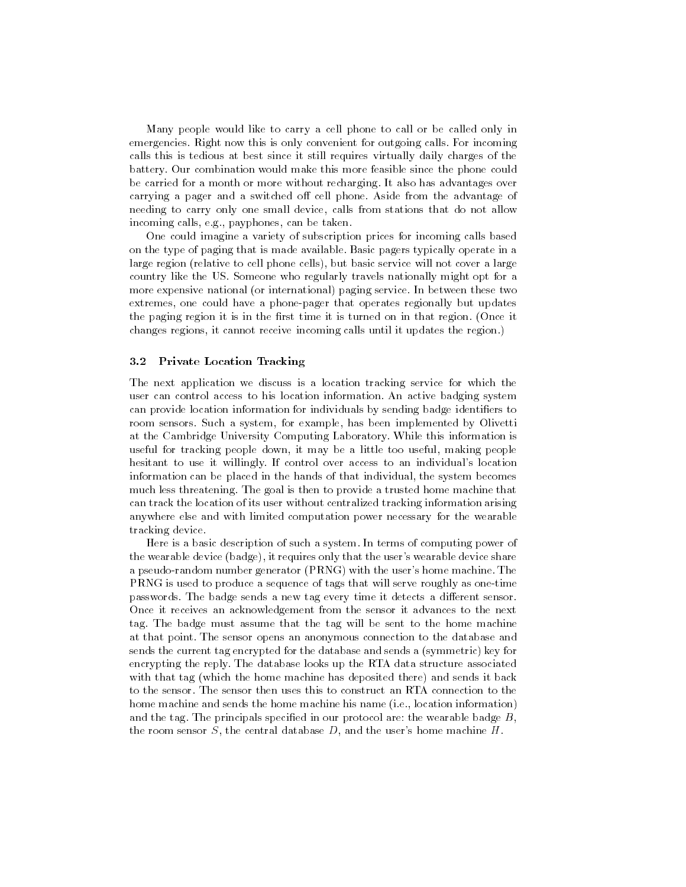Many people would like to carry a cell phone to call or be called only in emergencies. Right now this is only convenient for outgoing calls. For incoming calls this is tedious at best since it still requires virtually daily charges of the battery. Our combination would make this more feasible since the phone could be carried for a month or more without recharging. It also has advantages over carrying a pager and a switched off cell phone. Aside from the advantage of needing to carry only one small device, calls from stations that do not allow incoming calls, e.g., payphones, can be taken.

One could imagine a variety of subscription prices for incoming calls based on the type of paging that is made available. Basic pagers typically operate in a large region (relative to cell phone cells), but basic service will not cover a large country like the US. Someone who regularly travels nationally might opt for a more expensive national (or international) paging service. In between these two extremes, one could have a phone-pager that operates regionally but updates the paging region it is in the first time it is turned on in that region. (Once it changes regions, it cannot receive incoming calls until it updates the region.)

### 3.2 Private Location Tracking

The next application we discuss is a location tracking service for which the user can control access to his location information. An active badging system can provide location information for individuals by sending badge identifiers to room sensors. Such a system, for example, has been implemented by Olivetti at the Cambridge University Computing Laboratory. While this information is useful for tracking people down, it may be a little too useful, making people hesitant to use it willingly. If control over access to an individual's location information can be placed in the hands of that individual, the system becomes much less threatening. The goal is then to provide a trusted home machine that can track the location of its user without centralized tracking information arising anywhere else and with limited computation power necessary for the wearable tracking device.

Here is a basic description of such a system. In terms of computing power of the wearable device (badge), it requires only that the user's wearable device share a pseudo-random number generator (PRNG) with the user's home machine. The PRNG is used to produce a sequence of tags that will serve roughly as one-time passwords. The badge sends a new tag every time it detects a different sensor. Once it receives an acknowledgement from the sensor it advances to the next tag. The badge must assume that the tag will be sent to the home machine at that point. The sensor opens an anonymous connection to the database and sends the current tag encrypted for the database and sends a (symmetric) key for encrypting the reply. The database looks up the RTA data structure associated with that tag (which the home machine has deposited there) and sends it back to the sensor. The sensor then uses this to construct an RTA connection to the home machine and sends the home machine his name (i.e., location information) and the tag. The principals specified in our protocol are: the wearable badge  $B$ , the room sensor S, the central database D, and the user's home machine  $H$ .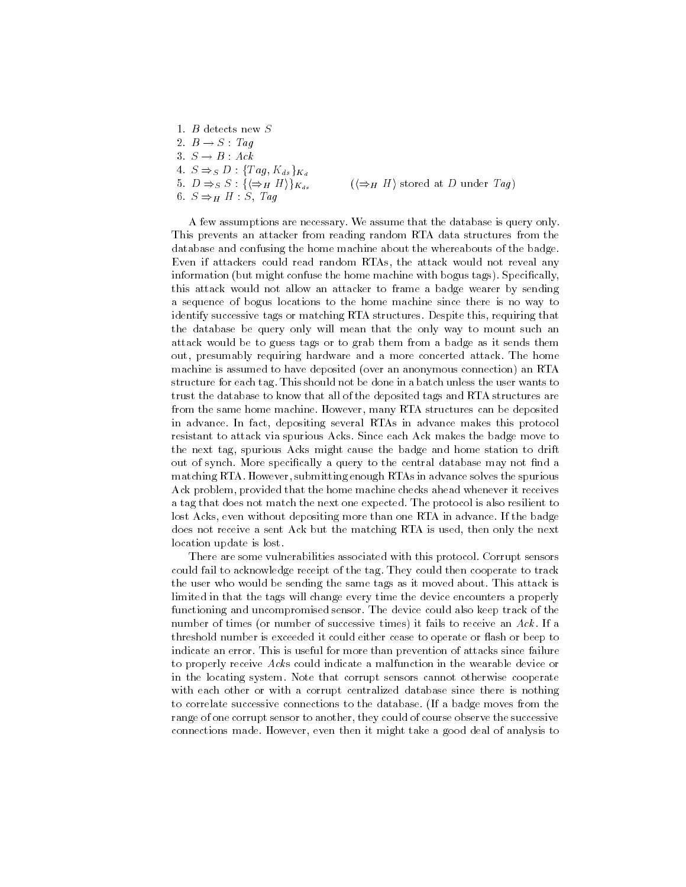1. <sup>B</sup> detects new <sup>S</sup> 2. B : D : Tag : Tag : Tag : Tag : Tag : Tag : Tag : Tag : Tag : Tag : Tag : Tag : Tag : Tag : Tag : Tag : Tag 3. <sup>S</sup> ! <sup>B</sup> : Ack 4. <sup>S</sup> )S <sup>D</sup> : <sup>f</sup><sup>T</sup> ag; KdsgKd 5.  $D \Rightarrow_S S : \{ \langle \Rightarrow_H H \rangle \}_{K_{ds}}$  $(\leftrightarrow_H H)$  stored at D under Tag) 6. <sup>S</sup> )H <sup>H</sup> : S, Tag

A few assumptions are necessary. We assume that the database is query only. This prevents an attacker from reading random RTA data structures from the database and confusing the home machine about the whereabouts of the badge. Even if attackers could read random RTAs, the attack would not reveal any information (but might confuse the home machine with bogus tags). Specically, this attack would not allow an attacker to frame a badge wearer by sending a sequence of bogus locations to the home machine since there is no way to identify successive tags or matching RTA structures. Despite this, requiring that the database be query only will mean that the only way to mount such an attack would be to guess tags or to grab them from a badge as it sends them out, presumably requiring hardware and a more concerted attack. The home machine is assumed to have deposited (over an anonymous connection) an RTA structure for each tag. This should not be done in a batch unless the user wants to trust the database to know that all of the deposited tags and RTA structures are from the same home machine. However, many RTA structures can be deposited in advance. In fact, depositing several RTAs in advance makes this protocol resistant to attack via spurious Acks. Since each Ack makes the badge move to the next tag, spurious Acks might cause the badge and home station to drift out of synch. More specifically a query to the central database may not find a matching RTA. However, submitting enough RTAs in advance solves the spurious Ack problem, provided that the home machine checks ahead whenever it receives a tag that does not match the next one expected. The protocol is also resilient to lost Acks, even without depositing more than one RTA in advance. If the badge does not receive a sent Ack but the matching RTA is used, then only the next location update is lost.

There are some vulnerabilities associated with this protocol. Corrupt sensors could fail to acknowledge receipt of the tag. They could then cooperate to track the user who would be sending the same tags as it moved about. This attack is limited in that the tags will change every time the device encounters a properly functioning and uncompromised sensor. The device could also keep track of the number of times (or number of successive times) it fails to receive an  $Ack$ . If a threshold number is exceeded it could either cease to operate or flash or beep to indicate an error. This is useful for more than prevention of attacks since failure to properly receive Acks could indicate a malfunction in the wearable device or in the locating system. Note that corrupt sensors cannot otherwise cooperate with each other or with a corrupt centralized database since there is nothing to correlate successive connections to the database. (If a badge moves from the range of one corrupt sensor to another, they could of course observe the successive connections made. However, even then it might take a good deal of analysis to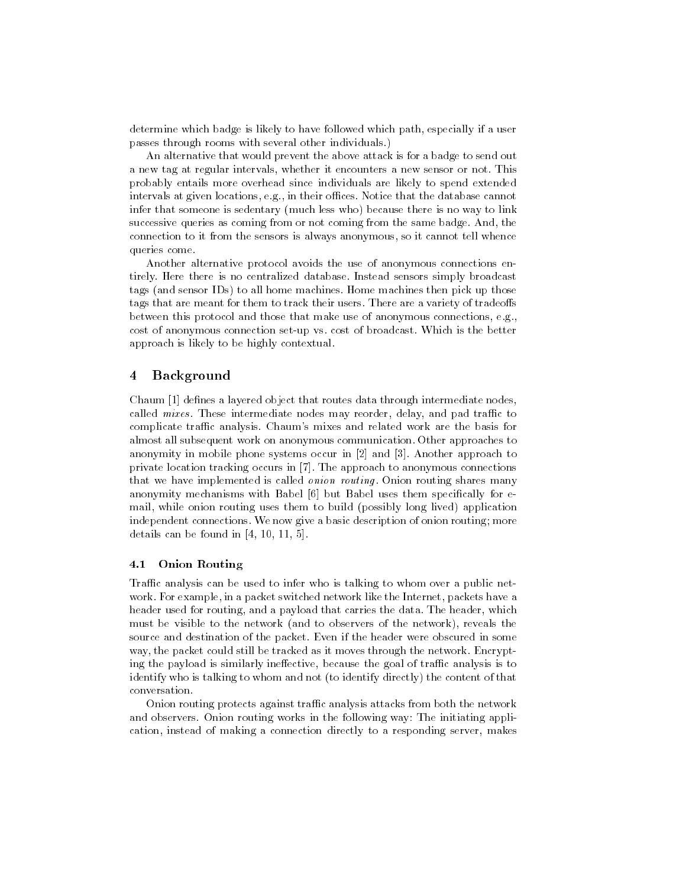determine which badge is likely to have followed which path, especially if a user passes through rooms with several other individuals.)

An alternative that would prevent the above attack is for a badge to send out a new tag at regular intervals, whether it encounters a new sensor or not. This probably entails more overhead since individuals are likely to spend extended intervals at given locations, e.g., in their offices. Notice that the database cannot infer that someone is sedentary (much less who) because there is no way to link successive queries as coming from or not coming from the same badge. And, the connection to it from the sensors is always anonymous, so it cannot tell whence queries come.

Another alternative protocol avoids the use of anonymous connections entirely. Here there is no centralized database. Instead sensors simply broadcast tags (and sensor IDs) to all home machines. Home machines then pick up those tags that are meant for them to track their users. There are a variety of tradeoffs between this protocol and those that make use of anonymous connections, e.g., cost of anonymous connection set-up vs. cost of broadcast. Which is the better approach is likely to be highly contextual.

# 4 Background

Chaum [1] defines a layered object that routes data through intermediate nodes, called  $mires$ . These intermediate nodes may reorder, delay, and pad traffic to complicate traffic analysis. Chaum's mixes and related work are the basis for almost all subsequent work on anonymous communication. Other approaches to anonymity in mobile phone systems occur in [2] and [3]. Another approach to private location tracking occurs in [7]. The approach to anonymous connections that we have implemented is called *onion routing*. Onion routing shares many anonymity mechanisms with Babel [6] but Babel uses them specically for email, while onion routing uses them to build (possibly long lived) application independent connections. We now give a basic description of onion routing; more details can be found in [4, 10, 11, 5].

#### 4.1 Onion Routing

Traffic analysis can be used to infer who is talking to whom over a public network. For example, in a packet switched network like the Internet, packets have a header used for routing, and a payload that carries the data. The header, which must be visible to the network (and to observers of the network), reveals the source and destination of the packet. Even if the header were obscured in some way, the packet could still be tracked as it moves through the network. Encrypting the payload is similarly ineffective, because the goal of traffic analysis is to identify who is talking to whom and not (to identify directly) the content of that conversation.

Onion routing protects against traffic analysis attacks from both the network and observers. Onion routing works in the following way: The initiating application, instead of making a connection directly to a responding server, makes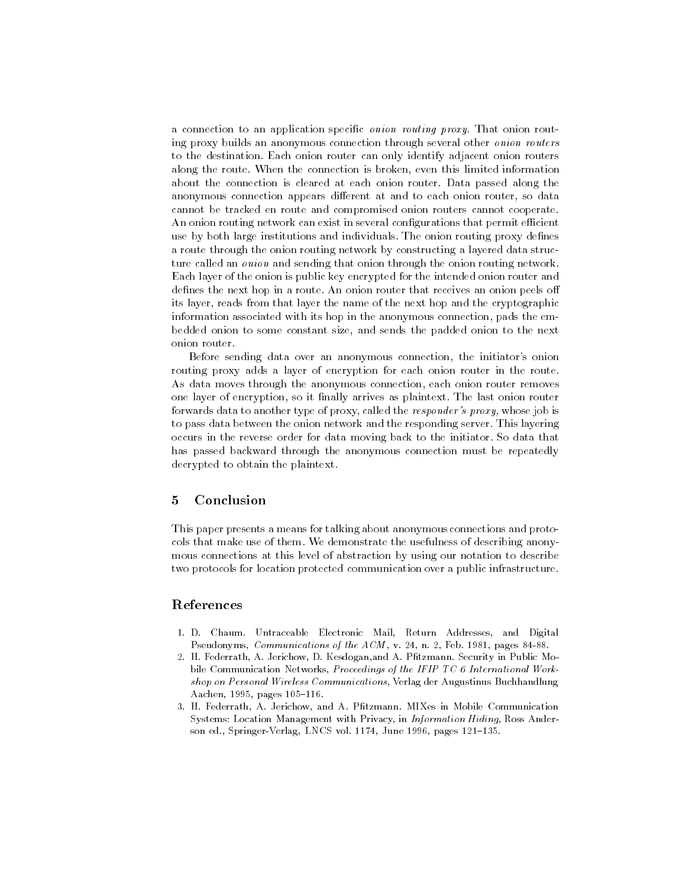a connection to an application specific *onion routing proxy*. That onion routing proxy builds an anonymous connection through several other onion routers to the destination. Each onion router can only identify adjacent onion routers along the route. When the connection is broken, even this limited information about the connection is cleared at each onion router. Data passed along the anonymous connection appears different at and to each onion router, so data cannot be tracked en route and compromised onion routers cannot cooperate. An onion routing network can exist in several configurations that permit efficient use by both large institutions and individuals. The onion routing proxy defines a route through the onion routing network by constructing a layered data structure called an *onion* and sending that onion through the onion routing network. Each layer of the onion is public key encrypted for the intended onion router and defines the next hop in a route. An onion router that receives an onion peels off its layer, reads from that layer the name of the next hop and the cryptographic information associated with its hop in the anonymous connection, pads the embedded onion to some constant size, and sends the padded onion to the next onion router.

Before sending data over an anonymous connection, the initiator's onion routing proxy adds a layer of encryption for each onion router in the route. As data moves through the anonymous connection, each onion router removes one layer of encryption, so it finally arrives as plaintext. The last onion router forwards data to another type of proxy, called the responder's proxy, whose job is to pass data between the onion network and the responding server. This layering occurs in the reverse order for data moving back to the initiator. So data that has passed backward through the anonymous connection must be repeatedly decrypted to obtain the plaintext.

# 5 Conclusion

This paper presents a means for talking about anonymous connections and protocols that make use of them. We demonstrate the usefulness of describing anonymous connections at this level of abstraction by using our notation to describe two protocols for location protected communication over a public infrastructure.

# References

- 1. D. Chaum. Untraceable Electronic Mail, Return Addresses, and Digital Pseudonyms, Communications of the ACM , v. 24, n. 2, Feb. 1981, pages 84-88.
- 2. H. Federrath, A. Jerichow, D. Kesdogan,and A. Ptzmann. Security in Public Mobile Communication Networks, Proceedings of the IFIP TC 6 International Workshop on Personal Wireless Communications , Verlag der Augustinus Buchhandlung Aachen, 1995, pages 105-116.
- 3. H. Federrath, A. Jerichow, and A. Ptzmann. MIXes in Mobile Communication Systems: Location Management with Privacy, in Information Hiding, Ross Anderson ed., Springer-Verlag, LNCS vol. 1174, June 1996, pages 121-135.